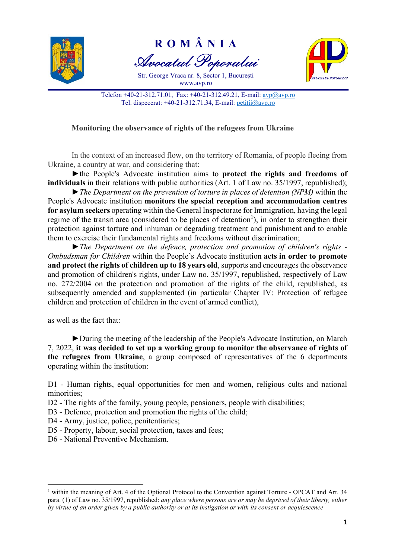

R O M Â N I A Avocatul Poporului

Str. George Vraca nr. 8, Sector 1, Bucureşti www.avp.ro



Telefon +40-21-312.71.01, Fax: +40-21-312.49.21, E-mail: avp@avp.ro Tel. dispecerat: +40-21-312.71.34, E-mail: petitii@avp.ro

## Monitoring the observance of rights of the refugees from Ukraine

In the context of an increased flow, on the territory of Romania, of people fleeing from Ukraine, a country at war, and considering that:

►the People's Advocate institution aims to protect the rights and freedoms of individuals in their relations with public authorities (Art. 1 of Law no. 35/1997, republished);

 $\blacktriangleright$  The Department on the prevention of torture in places of detention (NPM) within the People's Advocate institution monitors the special reception and accommodation centres for asylum seekers operating within the General Inspectorate for Immigration, having the legal regime of the transit area (considered to be places of detention<sup>1</sup>), in order to strengthen their protection against torture and inhuman or degrading treatment and punishment and to enable them to exercise their fundamental rights and freedoms without discrimination;

►The Department on the defence, protection and promotion of children's rights - Ombudsman for Children within the People's Advocate institution acts in order to promote and protect the rights of children up to 18 years old, supports and encourages the observance and promotion of children's rights, under Law no. 35/1997, republished, respectively of Law no. 272/2004 on the protection and promotion of the rights of the child, republished, as subsequently amended and supplemented (in particular Chapter IV: Protection of refugee children and protection of children in the event of armed conflict),

as well as the fact that:

►During the meeting of the leadership of the People's Advocate Institution, on March 7, 2022, it was decided to set up a working group to monitor the observance of rights of the refugees from Ukraine, a group composed of representatives of the 6 departments operating within the institution:

D1 - Human rights, equal opportunities for men and women, religious cults and national minorities;

- D2 The rights of the family, young people, pensioners, people with disabilities;
- D3 Defence, protection and promotion the rights of the child;
- D4 Army, justice, police, penitentiaries;
- D5 Property, labour, social protection, taxes and fees;
- D6 National Preventive Mechanism.

<sup>&</sup>lt;sup>1</sup> within the meaning of Art. 4 of the Optional Protocol to the Convention against Torture - OPCAT and Art. 34 para. (1) of Law no. 35/1997, republished: any place where persons are or may be deprived of their liberty, either by virtue of an order given by a public authority or at its instigation or with its consent or acquiescence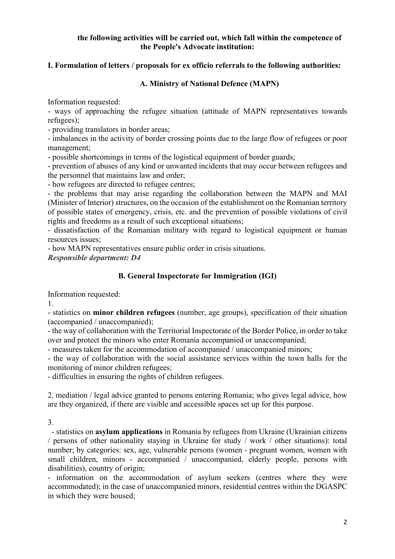## the following activities will be carried out, which fall within the competence of the People's Advocate institution:

## I. Formulation of letters / proposals for ex officio referrals to the following authorities:

## A. Ministry of National Defence (MAPN)

Information requested:

- ways of approaching the refugee situation (attitude of MAPN representatives towards refugees);

- providing translators in border areas;

- imbalances in the activity of border crossing points due to the large flow of refugees or poor management;

- possible shortcomings in terms of the logistical equipment of border guards;

- prevention of abuses of any kind or unwanted incidents that may occur between refugees and the personnel that maintains law and order;

- how refugees are directed to refugee centres;

- the problems that may arise regarding the collaboration between the MAPN and MAI (Minister of Interior) structures, on the occasion of the establishment on the Romanian territory of possible states of emergency, crisis, etc. and the prevention of possible violations of civil rights and freedoms as a result of such exceptional situations;

- dissatisfaction of the Romanian military with regard to logistical equipment or human resources issues;

- how MAPN representatives ensure public order in crisis situations.

Responsible department: D4

# B. General Inspectorate for Immigration (IGI)

Information requested:

1.

- statistics on minor children refugees (number, age groups), specification of their situation (accompanied / unaccompanied);

- the way of collaboration with the Territorial Inspectorate of the Border Police, in order to take over and protect the minors who enter Romania accompanied or unaccompanied:

- measures taken for the accommodation of accompanied / unaccompanied minors;

- the way of collaboration with the social assistance services within the town halls for the monitoring of minor children refugees;

- difficulties in ensuring the rights of children refugees.

2. mediation / legal advice granted to persons entering Romania; who gives legal advice, how are they organized, if there are visible and accessible spaces set up for this purpose.

3.

 - statistics on asylum applications in Romania by refugees from Ukraine (Ukrainian citizens / persons of other nationality staying in Ukraine for study / work / other situations): total number; by categories: sex, age, vulnerable persons (women - pregnant women, women with small children, minors - accompanied / unaccompanied, elderly people, persons with disabilities), country of origin;

- information on the accommodation of asylum seekers (centres where they were accommodated); in the case of unaccompanied minors, residential centres within the DGASPC in which they were housed;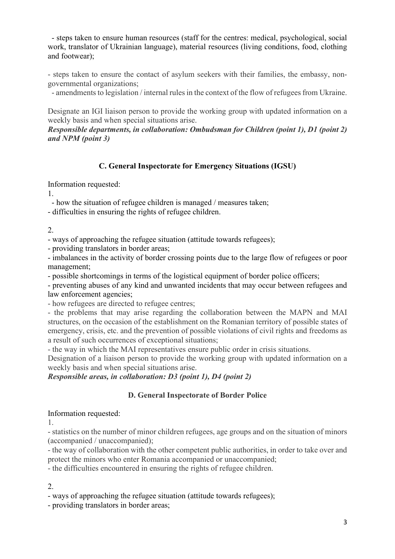- steps taken to ensure human resources (staff for the centres: medical, psychological, social work, translator of Ukrainian language), material resources (living conditions, food, clothing and footwear);

- steps taken to ensure the contact of asylum seekers with their families, the embassy, nongovernmental organizations;

- amendments to legislation / internal rules in the context of the flow of refugees from Ukraine.

Designate an IGI liaison person to provide the working group with updated information on a weekly basis and when special situations arise.

### Responsible departments, in collaboration: Ombudsman for Children (point 1), D1 (point 2) and NPM (point 3)

## C. General Inspectorate for Emergency Situations (IGSU)

Information requested:

1.

- how the situation of refugee children is managed / measures taken;

- difficulties in ensuring the rights of refugee children.

2.

- ways of approaching the refugee situation (attitude towards refugees);

- providing translators in border areas;

- imbalances in the activity of border crossing points due to the large flow of refugees or poor management;

- possible shortcomings in terms of the logistical equipment of border police officers;

- preventing abuses of any kind and unwanted incidents that may occur between refugees and law enforcement agencies;

- how refugees are directed to refugee centres;

- the problems that may arise regarding the collaboration between the MAPN and MAI structures, on the occasion of the establishment on the Romanian territory of possible states of emergency, crisis, etc. and the prevention of possible violations of civil rights and freedoms as a result of such occurrences of exceptional situations;

- the way in which the MAI representatives ensure public order in crisis situations.

Designation of a liaison person to provide the working group with updated information on a weekly basis and when special situations arise.

Responsible areas, in collaboration: D3 (point 1), D4 (point 2)

## D. General Inspectorate of Border Police

#### Information requested:

1.

- statistics on the number of minor children refugees, age groups and on the situation of minors (accompanied / unaccompanied);

- the way of collaboration with the other competent public authorities, in order to take over and protect the minors who enter Romania accompanied or unaccompanied;

- the difficulties encountered in ensuring the rights of refugee children.

2.

- ways of approaching the refugee situation (attitude towards refugees);

- providing translators in border areas;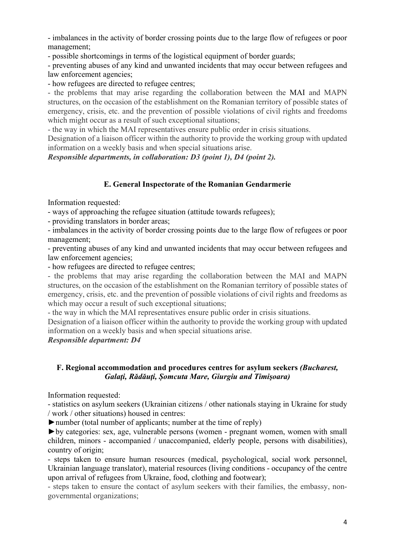- imbalances in the activity of border crossing points due to the large flow of refugees or poor management;

- possible shortcomings in terms of the logistical equipment of border guards;

- preventing abuses of any kind and unwanted incidents that may occur between refugees and law enforcement agencies;

- how refugees are directed to refugee centres;

- the problems that may arise regarding the collaboration between the MAI and MAPN structures, on the occasion of the establishment on the Romanian territory of possible states of emergency, crisis, etc. and the prevention of possible violations of civil rights and freedoms which might occur as a result of such exceptional situations;

- the way in which the MAI representatives ensure public order in crisis situations.

Designation of a liaison officer within the authority to provide the working group with updated information on a weekly basis and when special situations arise.

Responsible departments, in collaboration: D3 (point 1), D4 (point 2).

## E. General Inspectorate of the Romanian Gendarmerie

Information requested:

- ways of approaching the refugee situation (attitude towards refugees);

- providing translators in border areas;

- imbalances in the activity of border crossing points due to the large flow of refugees or poor management;

- preventing abuses of any kind and unwanted incidents that may occur between refugees and law enforcement agencies;

- how refugees are directed to refugee centres;

- the problems that may arise regarding the collaboration between the MAI and MAPN structures, on the occasion of the establishment on the Romanian territory of possible states of emergency, crisis, etc. and the prevention of possible violations of civil rights and freedoms as which may occur a result of such exceptional situations:

- the way in which the MAI representatives ensure public order in crisis situations.

Designation of a liaison officer within the authority to provide the working group with updated information on a weekly basis and when special situations arise.

Responsible department: D4

### F. Regional accommodation and procedures centres for asylum seekers (Bucharest, Galați, Rădăuți, Șomcuta Mare, Giurgiu and Timișoara)

Information requested:

- statistics on asylum seekers (Ukrainian citizens / other nationals staying in Ukraine for study / work / other situations) housed in centres:

 $\triangleright$  number (total number of applicants; number at the time of reply)

►by categories: sex, age, vulnerable persons (women - pregnant women, women with small children, minors - accompanied / unaccompanied, elderly people, persons with disabilities), country of origin;

- steps taken to ensure human resources (medical, psychological, social work personnel, Ukrainian language translator), material resources (living conditions - occupancy of the centre upon arrival of refugees from Ukraine, food, clothing and footwear);

- steps taken to ensure the contact of asylum seekers with their families, the embassy, nongovernmental organizations;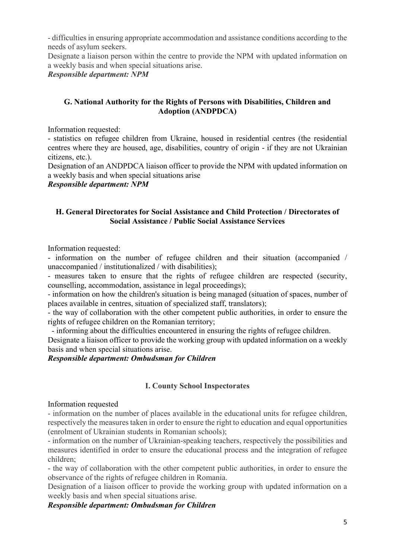- difficulties in ensuring appropriate accommodation and assistance conditions according to the needs of asylum seekers.

Designate a liaison person within the centre to provide the NPM with updated information on a weekly basis and when special situations arise.

Responsible department: NPM

## G. National Authority for the Rights of Persons with Disabilities, Children and Adoption (ANDPDCA)

Information requested:

- statistics on refugee children from Ukraine, housed in residential centres (the residential centres where they are housed, age, disabilities, country of origin - if they are not Ukrainian citizens, etc.).

Designation of an ANDPDCA liaison officer to provide the NPM with updated information on a weekly basis and when special situations arise

Responsible department: NPM

### H. General Directorates for Social Assistance and Child Protection / Directorates of Social Assistance / Public Social Assistance Services

Information requested:

- information on the number of refugee children and their situation (accompanied / unaccompanied / institutionalized / with disabilities);

- measures taken to ensure that the rights of refugee children are respected (security, counselling, accommodation, assistance in legal proceedings);

- information on how the children's situation is being managed (situation of spaces, number of places available in centres, situation of specialized staff, translators);

- the way of collaboration with the other competent public authorities, in order to ensure the rights of refugee children on the Romanian territory;

 - informing about the difficulties encountered in ensuring the rights of refugee children. Designate a liaison officer to provide the working group with updated information on a weekly basis and when special situations arise.

## Responsible department: Ombudsman for Children

## I. County School Inspectorates

#### Information requested

- information on the number of places available in the educational units for refugee children, respectively the measures taken in order to ensure the right to education and equal opportunities (enrolment of Ukrainian students in Romanian schools);

- information on the number of Ukrainian-speaking teachers, respectively the possibilities and measures identified in order to ensure the educational process and the integration of refugee children;

- the way of collaboration with the other competent public authorities, in order to ensure the observance of the rights of refugee children in Romania.

Designation of a liaison officer to provide the working group with updated information on a weekly basis and when special situations arise.

## Responsible department: Ombudsman for Children